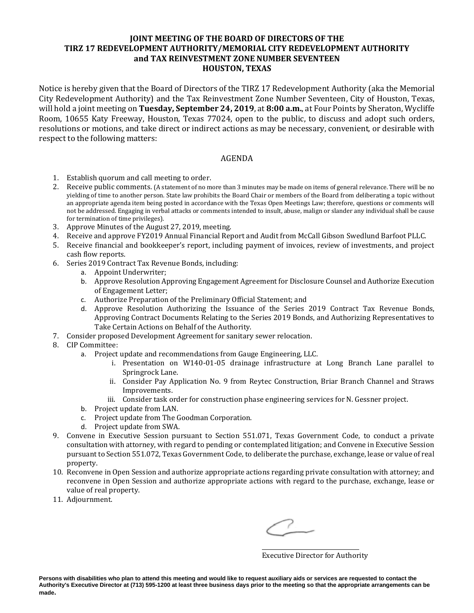## **JOINT MEETING OF THE BOARD OF DIRECTORS OF THE TIRZ 17 REDEVELOPMENT AUTHORITY/MEMORIAL CITY REDEVELOPMENT AUTHORITY and TAX REINVESTMENT ZONE NUMBER SEVENTEEN HOUSTON, TEXAS**

Notice is hereby given that the Board of Directors of the TIRZ 17 Redevelopment Authority (aka the Memorial City Redevelopment Authority) and the Tax Reinvestment Zone Number Seventeen, City of Houston, Texas, will hold a joint meeting on **Tuesday, September 24, 2019**, at **8:00 a.m.**, at Four Points by Sheraton, Wycliffe Room, 10655 Katy Freeway, Houston, Texas 77024, open to the public, to discuss and adopt such orders, resolutions or motions, and take direct or indirect actions as may be necessary, convenient, or desirable with respect to the following matters:

## AGENDA

- 1. Establish quorum and call meeting to order.
- 2. Receive public comments. (A statement of no more than 3 minutes may be made on items of general relevance. There will be no yielding of time to another person. State law prohibits the Board Chair or members of the Board from deliberating a topic without an appropriate agenda item being posted in accordance with the Texas Open Meetings Law; therefore, questions or comments will not be addressed. Engaging in verbal attacks or comments intended to insult, abuse, malign or slander any individual shall be cause for termination of time privileges).
- 3. Approve Minutes of the August 27, 2019, meeting.
- 4. Receive and approve FY2019 Annual Financial Report and Audit from McCall Gibson Swedlund Barfoot PLLC.
- 5. Receive financial and bookkeeper's report, including payment of invoices, review of investments, and project cash flow reports.
- 6. Series 2019 Contract Tax Revenue Bonds, including:
	- a. Appoint Underwriter;
	- b. Approve Resolution Approving Engagement Agreement for Disclosure Counsel and Authorize Execution of Engagement Letter;
	- c. Authorize Preparation of the Preliminary Official Statement; and
	- d. Approve Resolution Authorizing the Issuance of the Series 2019 Contract Tax Revenue Bonds, Approving Contract Documents Relating to the Series 2019 Bonds, and Authorizing Representatives to Take Certain Actions on Behalf of the Authority.
- 7. Consider proposed Development Agreement for sanitary sewer relocation.
- 8. CIP Committee:
	- a. Project update and recommendations from Gauge Engineering, LLC.
		- i. Presentation on W140-01-05 drainage infrastructure at Long Branch Lane parallel to Springrock Lane.
		- ii. Consider Pay Application No. 9 from Reytec Construction, Briar Branch Channel and Straws Improvements.
		- iii. Consider task order for construction phase engineering services for N. Gessner project.
	- b. Project update from LAN.
	- c. Project update from The Goodman Corporation.
	- d. Project update from SWA.
- 9. Convene in Executive Session pursuant to Section 551.071, Texas Government Code, to conduct a private consultation with attorney, with regard to pending or contemplated litigation; and Convene in Executive Session pursuant to Section 551.072, Texas Government Code, to deliberate the purchase, exchange, lease or value of real property.
- 10. Reconvene in Open Session and authorize appropriate actions regarding private consultation with attorney; and reconvene in Open Session and authorize appropriate actions with regard to the purchase, exchange, lease or value of real property.
- 11. Adjournment.

\_\_\_\_\_\_\_\_\_\_\_\_\_\_\_\_\_\_\_\_\_\_\_\_\_\_\_\_\_\_\_\_\_\_ Executive Director for Authority